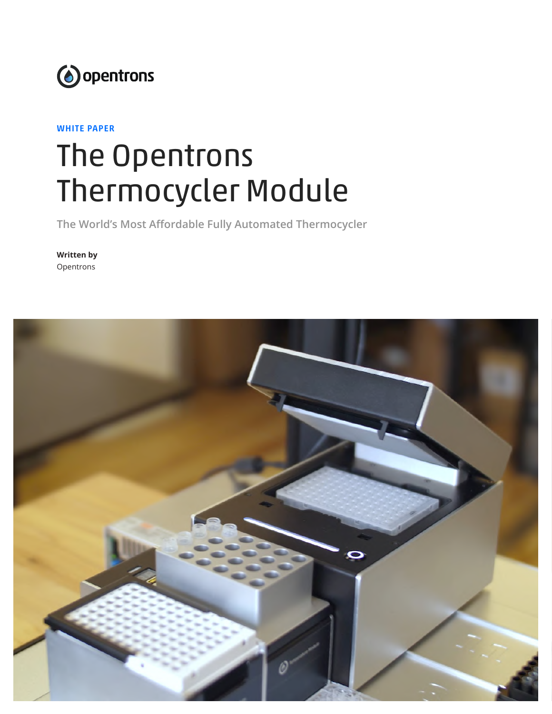

WHITE PAPER

# The Opentrons Thermocycler Module

**The World's Most Affordable Fully Automated Thermocycler**

**Written by** Opentrons

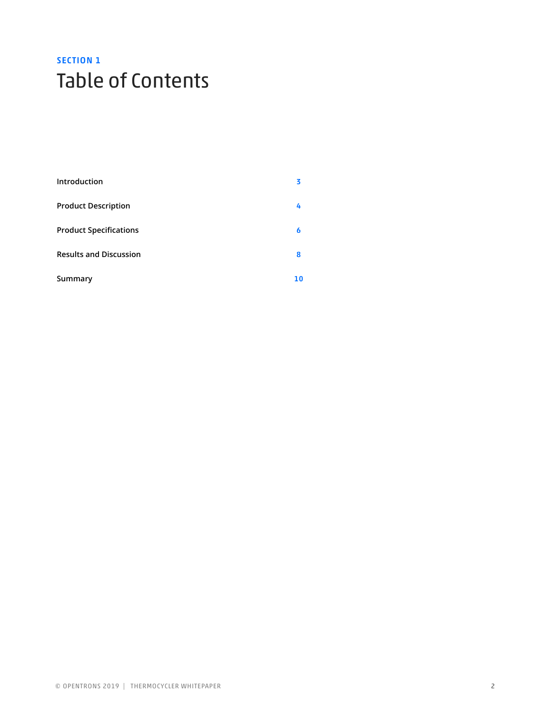# SECTION<sub>1</sub> Table of Contents

| Introduction                  | 3  |
|-------------------------------|----|
| <b>Product Description</b>    | 4  |
| <b>Product Specifications</b> | 6  |
| <b>Results and Discussion</b> | 8  |
| Summary                       | 10 |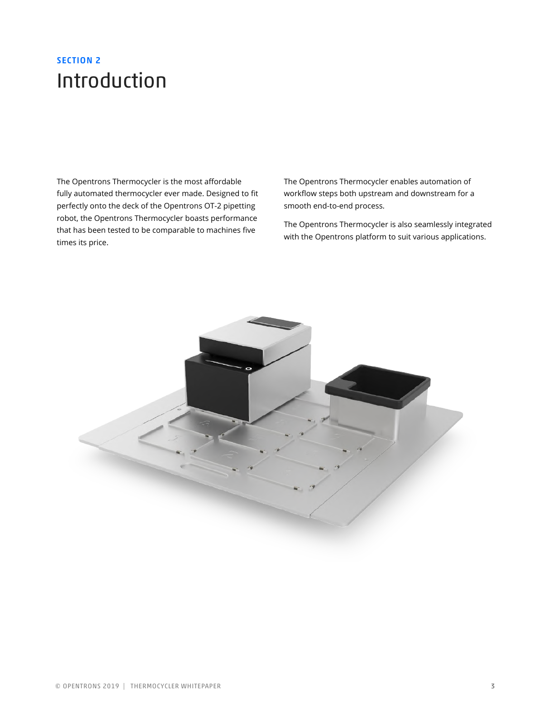## SECTION 2 Introduction

The Opentrons Thermocycler is the most affordable fully automated thermocycler ever made. Designed to fit perfectly onto the deck of the Opentrons OT-2 pipetting robot, the Opentrons Thermocycler boasts performance that has been tested to be comparable to machines five times its price.

The Opentrons Thermocycler enables automation of workflow steps both upstream and downstream for a smooth end-to-end process.

The Opentrons Thermocycler is also seamlessly integrated with the Opentrons platform to suit various applications.

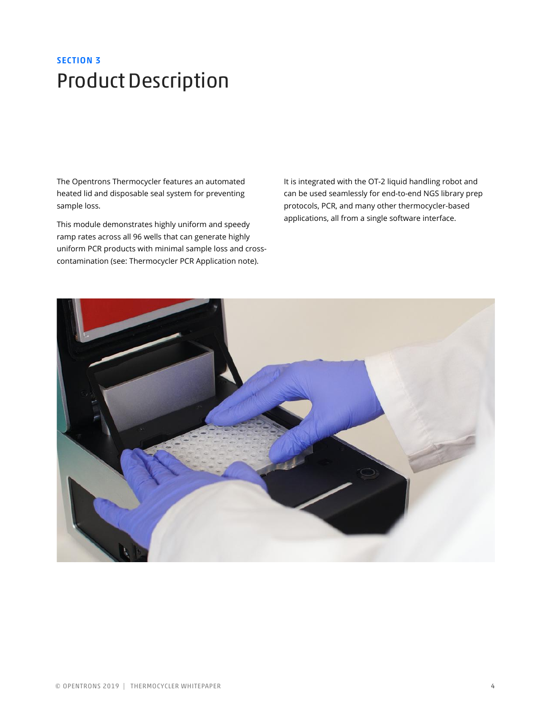# SECTION 3 Product Description

The Opentrons Thermocycler features an automated heated lid and disposable seal system for preventing sample loss.

This module demonstrates highly uniform and speedy ramp rates across all 96 wells that can generate highly uniform PCR products with minimal sample loss and crosscontamination (see: Thermocycler PCR Application note).

It is integrated with the OT-2 liquid handling robot and can be used seamlessly for end-to-end NGS library prep protocols, PCR, and many other thermocycler-based applications, all from a single software interface.

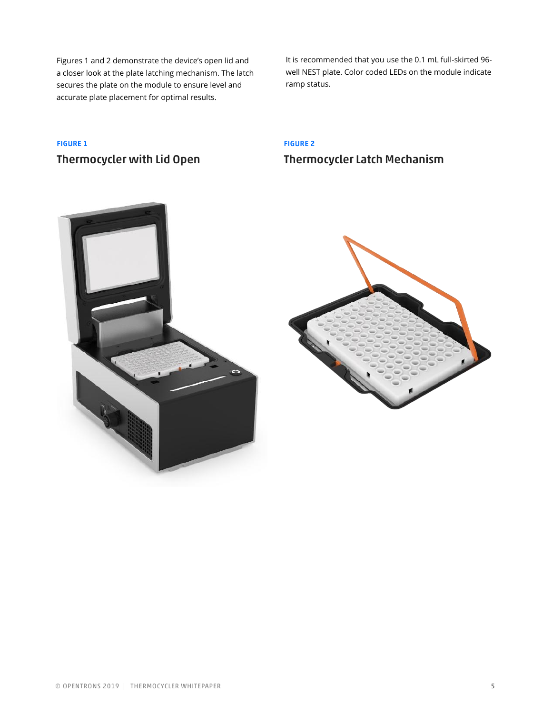Figures 1 and 2 demonstrate the device's open lid and a closer look at the plate latching mechanism. The latch secures the plate on the module to ensure level and accurate plate placement for optimal results.

It is recommended that you use the 0.1 mL full-skirted 96 well NEST plate. Color coded LEDs on the module indicate ramp status.

### FIGURE 1 Thermocycler with Lid Open

### FIGURE 2 Thermocycler Latch Mechanism



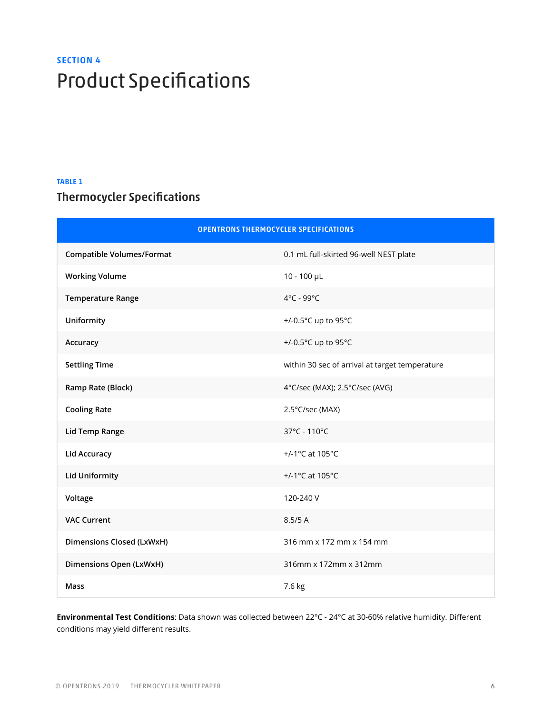# **SECTION 4** Product Specifications

#### TABLE 1

### Thermocycler Specifications

| <b>OPENTRONS THERMOCYCLER SPECIFICATIONS</b> |                                                |  |
|----------------------------------------------|------------------------------------------------|--|
| <b>Compatible Volumes/Format</b>             | 0.1 mL full-skirted 96-well NEST plate         |  |
| <b>Working Volume</b>                        | $10 - 100$ µL                                  |  |
| <b>Temperature Range</b>                     | 4°C - 99°C                                     |  |
| Uniformity                                   | +/-0.5°C up to 95°C                            |  |
| Accuracy                                     | +/-0.5°C up to 95°C                            |  |
| <b>Settling Time</b>                         | within 30 sec of arrival at target temperature |  |
| Ramp Rate (Block)                            | 4°C/sec (MAX); 2.5°C/sec (AVG)                 |  |
| <b>Cooling Rate</b>                          | 2.5°C/sec (MAX)                                |  |
| <b>Lid Temp Range</b>                        | 37°C - 110°C                                   |  |
| <b>Lid Accuracy</b>                          | +/-1°C at 105°C                                |  |
| <b>Lid Uniformity</b>                        | +/-1°C at 105°C                                |  |
| Voltage                                      | 120-240 V                                      |  |
| <b>VAC Current</b>                           | 8.5/5 A                                        |  |
| <b>Dimensions Closed (LxWxH)</b>             | 316 mm x 172 mm x 154 mm                       |  |
| Dimensions Open (LxWxH)                      | 316mm x 172mm x 312mm                          |  |
| <b>Mass</b>                                  | 7.6 kg                                         |  |

**Environmental Test Conditions**: Data shown was collected between 22°C - 24°C at 30-60% relative humidity. Different conditions may yield different results.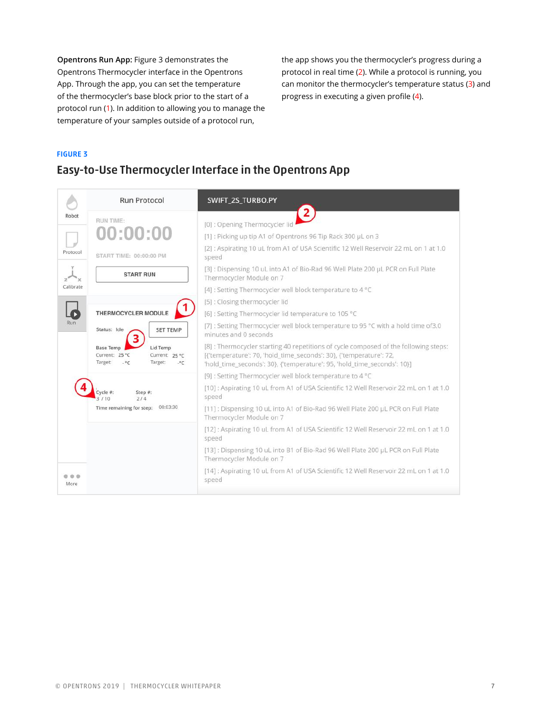**Opentrons Run App:** Figure 3 demonstrates the Opentrons Thermocycler interface in the Opentrons App. Through the app, you can set the temperature of the thermocycler's base block prior to the start of a protocol run (1). In addition to allowing you to manage the temperature of your samples outside of a protocol run,

the app shows you the thermocycler's progress during a protocol in real time (2). While a protocol is running, you can monitor the thermocycler's temperature status (3) and progress in executing a given profile (4).

#### FIGURE 3

### Easy-to-Use Thermocycler Interface in the Opentrons App

|                                        | <b>Run Protocol</b>                                                                                                   | SWIFT 2S TURBO.PY                                                                                                                                                                                                                     |
|----------------------------------------|-----------------------------------------------------------------------------------------------------------------------|---------------------------------------------------------------------------------------------------------------------------------------------------------------------------------------------------------------------------------------|
| Robot                                  | RUN TIME:                                                                                                             | $\mathbf{2}$<br>[0]: Opening Thermocycler li                                                                                                                                                                                          |
|                                        | 00:00:00                                                                                                              | [1]: Picking up tip A1 of Opentrons 96 Tip Rack 300 µL on 3                                                                                                                                                                           |
| Protocol                               | START TIME: 00:00:00 PM                                                                                               | [2]: Aspirating 10 uL from A1 of USA Scientific 12 Well Reservoir 22 mL on 1 at 1.0<br>speed                                                                                                                                          |
|                                        | <b>START RUN</b>                                                                                                      | [3]: Dispensing 10 uL into A1 of Bio-Rad 96 Well Plate 200 uL PCR on Full Plate<br>Thermocycler Module on 7                                                                                                                           |
| Calibrate                              |                                                                                                                       | [4] : Setting Thermocycler well block temperature to 4 °C                                                                                                                                                                             |
|                                        |                                                                                                                       | [5]: Closing thermocycler lid                                                                                                                                                                                                         |
|                                        | THERMOCYCLER MODULE                                                                                                   | [6] : Setting Thermocycler lid temperature to 105 °C                                                                                                                                                                                  |
| Run<br>Status: Idle<br><b>SET TEMP</b> | [7] : Setting Thermocycler well block temperature to 95 °C with a hold time of3.0<br>minutes and 0 seconds            |                                                                                                                                                                                                                                       |
|                                        | Lid Temp<br><b>Base Temp</b><br>Current: 25 °C<br>Current: 25 °C<br>Target:<br>$-$ °C<br>Target:<br>$\cdot^{\circ}$ C | [8] : Thermocycler starting 40 repetitions of cycle composed of the following steps:<br>[{'temperature': 70, 'hold_time_seconds': 30}, {'temperature': 72,<br>'hold_time_seconds': 30}, {'temperature': 95, 'hold_time_seconds': 10}] |
|                                        |                                                                                                                       | [9] : Setting Thermocycler well block temperature to 4 °C                                                                                                                                                                             |
|                                        | Step #:<br>2/4                                                                                                        | [10]: Aspirating 10 uL from A1 of USA Scientific 12 Well Reservoir 22 mL on 1 at 1.0<br>speed                                                                                                                                         |
|                                        | 00:03:30<br>Time remaining for step:                                                                                  | [11]: Dispensing 10 uL into A1 of Bio-Rad 96 Well Plate 200 µL PCR on Full Plate<br>Thermocycler Module on 7                                                                                                                          |
|                                        |                                                                                                                       | [12]: Aspirating 10 uL from A1 of USA Scientific 12 Well Reservoir 22 mL on 1 at 1.0<br>speed                                                                                                                                         |
|                                        |                                                                                                                       | [13] : Dispensing 10 uL into B1 of Bio-Rad 96 Well Plate 200 µL PCR on Full Plate<br>Thermocycler Module on 7                                                                                                                         |
| 000<br>More                            |                                                                                                                       | [14] : Aspirating 10 uL from A1 of USA Scientific 12 Well Reservoir 22 mL on 1 at 1.0<br>speed                                                                                                                                        |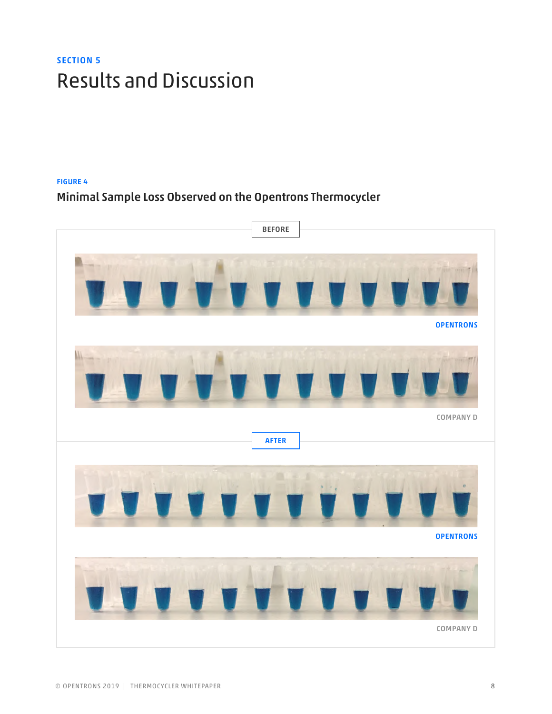# SECTION 5 Results and Discussion

### FIGURE 4 Minimal Sample Loss Observed on the Opentrons Thermocycler

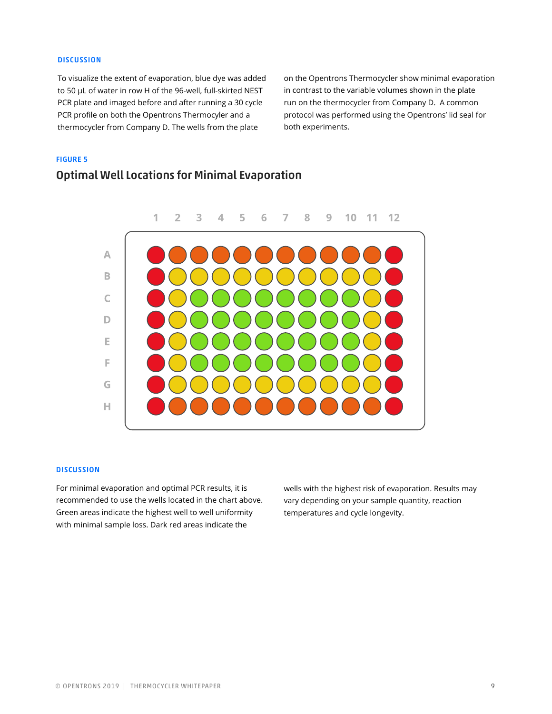#### **DISCUSSION**

To visualize the extent of evaporation, blue dye was added to 50 μL of water in row H of the 96-well, full-skirted NEST PCR plate and imaged before and after running a 30 cycle PCR profile on both the Opentrons Thermocyler and a thermocycler from Company D. The wells from the plate

on the Opentrons Thermocycler show minimal evaporation in contrast to the variable volumes shown in the plate run on the thermocycler from Company D. A common protocol was performed using the Opentrons' lid seal for both experiments.

#### FIGURE 5

### Optimal Well Locations for Minimal Evaporation



#### **DISCUSSION**

For minimal evaporation and optimal PCR results, it is recommended to use the wells located in the chart above. Green areas indicate the highest well to well uniformity with minimal sample loss. Dark red areas indicate the

wells with the highest risk of evaporation. Results may vary depending on your sample quantity, reaction temperatures and cycle longevity.